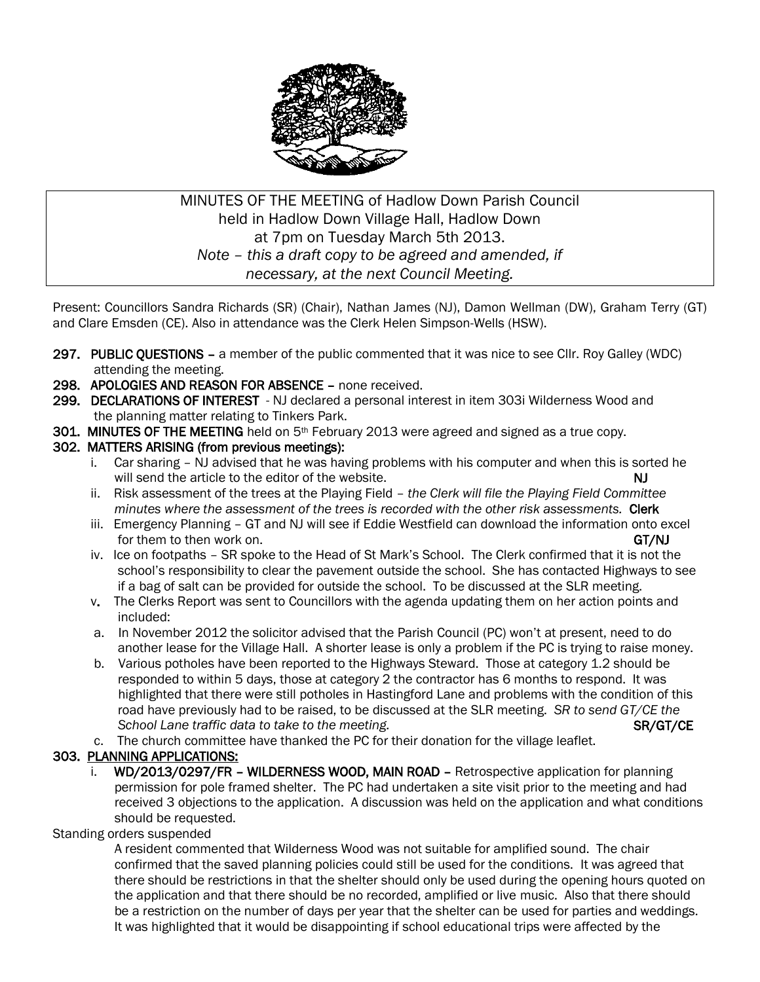

# MINUTES OF THE MEETING of Hadlow Down Parish Council held in Hadlow Down Village Hall, Hadlow Down at 7pm on Tuesday March 5th 2013. *Note – this a draft copy to be agreed and amended, if necessary, at the next Council Meeting.*

Present: Councillors Sandra Richards (SR) (Chair), Nathan James (NJ), Damon Wellman (DW), Graham Terry (GT) and Clare Emsden (CE). Also in attendance was the Clerk Helen Simpson-Wells (HSW).

- 297. PUBLIC QUESTIONS a member of the public commented that it was nice to see Cllr. Roy Galley (WDC) attending the meeting.
- 298. APOLOGIES AND REASON FOR ABSENCE none received.
- 299. DECLARATIONS OF INTEREST NJ declared a personal interest in item 303i Wilderness Wood and the planning matter relating to Tinkers Park.
- 301. MINUTES OF THE MEETING held on  $5<sup>th</sup>$  February 2013 were agreed and signed as a true copy.

#### 302. MATTERS ARISING (from previous meetings):

- i. Car sharing NJ advised that he was having problems with his computer and when this is sorted he will send the article to the editor of the website. NJ
- ii. Risk assessment of the trees at the Playing Field *the Clerk will file the Playing Field Committee minutes where the assessment of the trees is recorded with the other risk assessments.* Clerk
- iii. Emergency Planning GT and NJ will see if Eddie Westfield can download the information onto excel for them to then work on. GT/NJ
- iv. Ice on footpaths SR spoke to the Head of St Mark's School. The Clerk confirmed that it is not the school's responsibility to clear the pavement outside the school. She has contacted Highways to see if a bag of salt can be provided for outside the school. To be discussed at the SLR meeting.
- v. The Clerks Report was sent to Councillors with the agenda updating them on her action points and included:
- a. In November 2012 the solicitor advised that the Parish Council (PC) won't at present, need to do another lease for the Village Hall. A shorter lease is only a problem if the PC is trying to raise money.
- b. Various potholes have been reported to the Highways Steward. Those at category 1.2 should be responded to within 5 days, those at category 2 the contractor has 6 months to respond. It was highlighted that there were still potholes in Hastingford Lane and problems with the condition of this road have previously had to be raised, to be discussed at the SLR meeting. *SR to send GT/CE the School Lane traffic data to take to the meeting.* **SR/GT/CE SR/GT/CE SR/GT/CE SR/GT/CE SR/GT/CE SR/GT/CE SR/GT/CE SR/GT/CE SR/GT/CE SR/GT/CE SR/GT/CE SR/GT/CE SR/GT/CE SR/GT/CE SR/GT/CE SR/GT/CE SR/GT/CE SR/GT/CE SR/GT/CE**
- c. The church committee have thanked the PC for their donation for the village leaflet.

## 303. PLANNING APPLICATIONS:

i. WD/2013/0297/FR - WILDERNESS WOOD, MAIN ROAD - Retrospective application for planning permission for pole framed shelter. The PC had undertaken a site visit prior to the meeting and had received 3 objections to the application. A discussion was held on the application and what conditions should be requested.

## Standing orders suspended

 A resident commented that Wilderness Wood was not suitable for amplified sound. The chair confirmed that the saved planning policies could still be used for the conditions. It was agreed that there should be restrictions in that the shelter should only be used during the opening hours quoted on the application and that there should be no recorded, amplified or live music. Also that there should be a restriction on the number of days per year that the shelter can be used for parties and weddings. It was highlighted that it would be disappointing if school educational trips were affected by the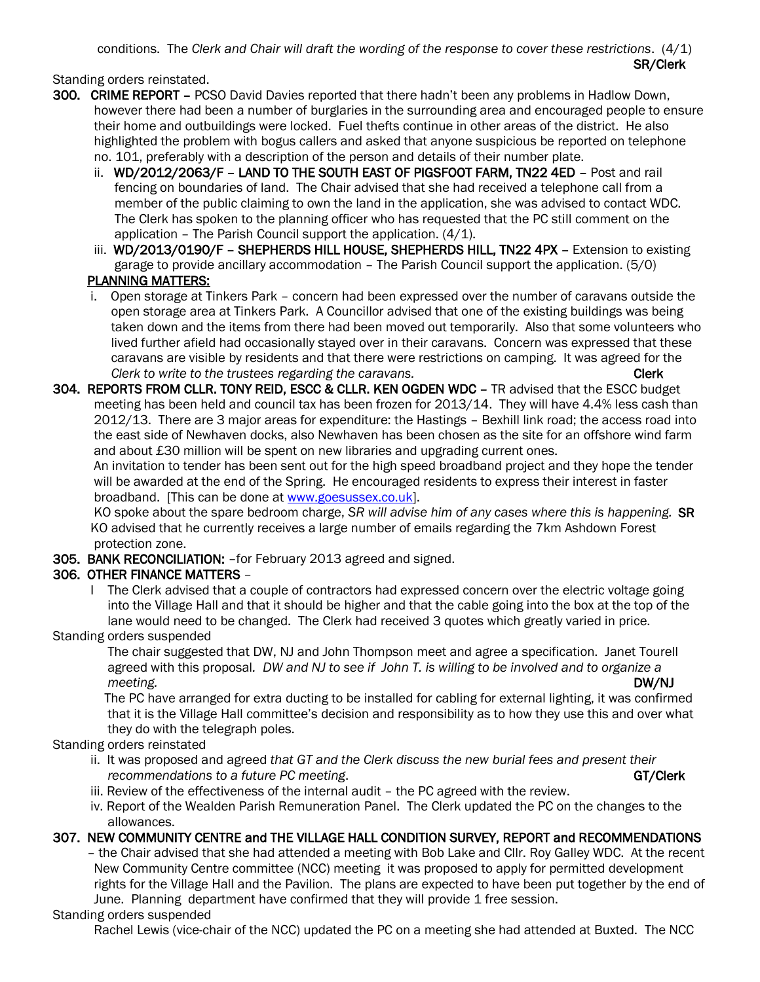conditions. The *Clerk and Chair will draft the wording of the response to cover these restrictions*. (4/1) SR/Clerk

Standing orders reinstated.

- 300. CRIME REPORT PCSO David Davies reported that there hadn't been any problems in Hadlow Down, however there had been a number of burglaries in the surrounding area and encouraged people to ensure their home and outbuildings were locked. Fuel thefts continue in other areas of the district. He also highlighted the problem with bogus callers and asked that anyone suspicious be reported on telephone no. 101, preferably with a description of the person and details of their number plate.
	- ii. WD/2012/2063/F LAND TO THE SOUTH EAST OF PIGSFOOT FARM, TN22 4ED Post and rail fencing on boundaries of land. The Chair advised that she had received a telephone call from a member of the public claiming to own the land in the application, she was advised to contact WDC. The Clerk has spoken to the planning officer who has requested that the PC still comment on the application – The Parish Council support the application. (4/1).
	- iii. WD/2013/0190/F SHEPHERDS HILL HOUSE, SHEPHERDS HILL, TN22 4PX Extension to existing garage to provide ancillary accommodation – The Parish Council support the application. (5/0) PLANNING MATTERS:
	- i. Open storage at Tinkers Park concern had been expressed over the number of caravans outside the open storage area at Tinkers Park. A Councillor advised that one of the existing buildings was being taken down and the items from there had been moved out temporarily. Also that some volunteers who lived further afield had occasionally stayed over in their caravans. Concern was expressed that these caravans are visible by residents and that there were restrictions on camping. It was agreed for the *Clerk to write to the trustees regarding the caravans.* Clerk Clerk **Clerk**
- 304. REPORTS FROM CLLR. TONY REID, ESCC & CLLR. KEN OGDEN WDC TR advised that the ESCC budget meeting has been held and council tax has been frozen for 2013/14. They will have 4.4% less cash than 2012/13. There are 3 major areas for expenditure: the Hastings – Bexhill link road; the access road into the east side of Newhaven docks, also Newhaven has been chosen as the site for an offshore wind farm and about £30 million will be spent on new libraries and upgrading current ones.

 An invitation to tender has been sent out for the high speed broadband project and they hope the tender will be awarded at the end of the Spring. He encouraged residents to express their interest in faster broadband. [This can be done at [www.goesussex.co.uk\]](http://www.goesussex.co.uk/).

 KO spoke about the spare bedroom charge, *SR will advise him of any cases where this is happening.* SR KO advised that he currently receives a large number of emails regarding the 7km Ashdown Forest protection zone.

305. BANK RECONCILIATION: –for February 2013 agreed and signed.

# 306. OTHER FINANCE MATTERS –

 I The Clerk advised that a couple of contractors had expressed concern over the electric voltage going into the Village Hall and that it should be higher and that the cable going into the box at the top of the lane would need to be changed. The Clerk had received 3 quotes which greatly varied in price.

Standing orders suspended

 The chair suggested that DW, NJ and John Thompson meet and agree a specification. Janet Tourell agreed with this proposal*. DW and NJ to see if John T. is willing to be involved and to organize a*  meeting. DW/NJ

 The PC have arranged for extra ducting to be installed for cabling for external lighting, it was confirmed that it is the Village Hall committee's decision and responsibility as to how they use this and over what they do with the telegraph poles.

Standing orders reinstated

- ii. It was proposed and agreed *that GT and the Clerk discuss the new burial fees and present their recommendations to a future PC meeting.* GT/Clerk and Commendations to a future PC meeting.
- iii. Review of the effectiveness of the internal audit the PC agreed with the review.
- iv. Report of the Wealden Parish Remuneration Panel. The Clerk updated the PC on the changes to the allowances.

## 307. NEW COMMUNITY CENTRE and THE VILLAGE HALL CONDITION SURVEY, REPORT and RECOMMENDATIONS

 – the Chair advised that she had attended a meeting with Bob Lake and Cllr. Roy Galley WDC. At the recent New Community Centre committee (NCC) meeting it was proposed to apply for permitted development rights for the Village Hall and the Pavilion. The plans are expected to have been put together by the end of June. Planning department have confirmed that they will provide 1 free session.

## Standing orders suspended

Rachel Lewis (vice-chair of the NCC) updated the PC on a meeting she had attended at Buxted. The NCC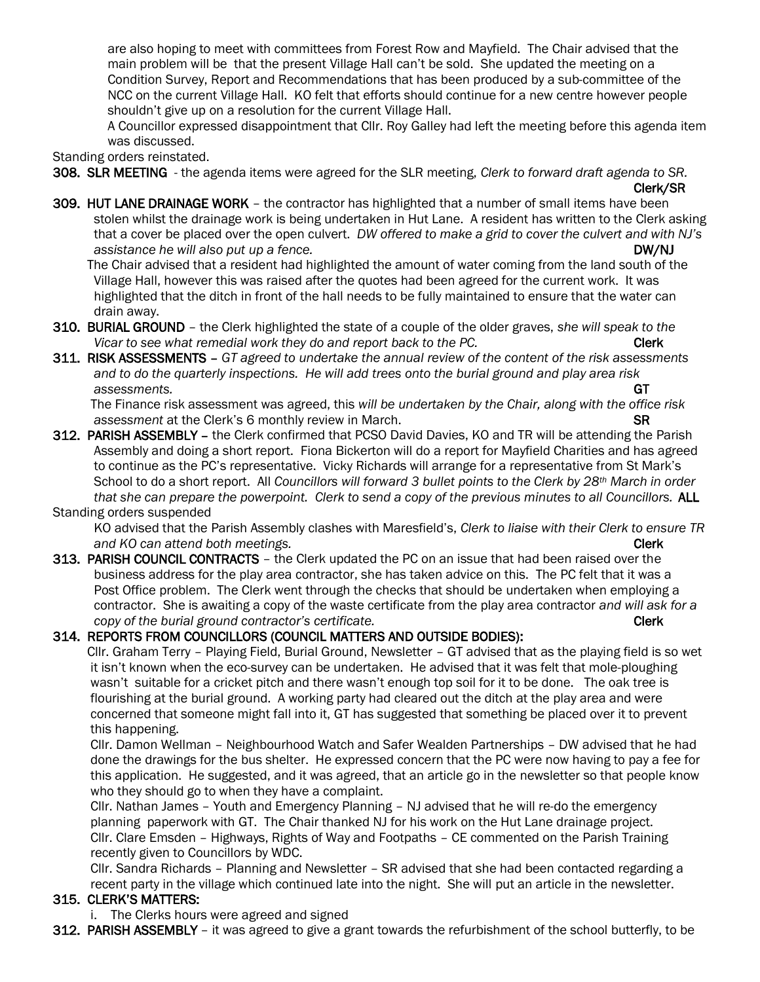are also hoping to meet with committees from Forest Row and Mayfield. The Chair advised that the main problem will be that the present Village Hall can't be sold. She updated the meeting on a Condition Survey, Report and Recommendations that has been produced by a sub-committee of the NCC on the current Village Hall. KO felt that efforts should continue for a new centre however people shouldn't give up on a resolution for the current Village Hall.

 A Councillor expressed disappointment that Cllr. Roy Galley had left the meeting before this agenda item was discussed.

Standing orders reinstated.

308. SLR MEETING - the agenda items were agreed for the SLR meeting, *Clerk to forward draft agenda to SR.* 

- Clerk/SR
- 309. HUT LANE DRAINAGE WORK the contractor has highlighted that a number of small items have been stolen whilst the drainage work is being undertaken in Hut Lane. A resident has written to the Clerk asking that a cover be placed over the open culvert. *DW offered to make a grid to cover the culvert and with NJ's assistance he will also put up a fence.*  $DW/NJ$

 The Chair advised that a resident had highlighted the amount of water coming from the land south of the Village Hall, however this was raised after the quotes had been agreed for the current work. It was highlighted that the ditch in front of the hall needs to be fully maintained to ensure that the water can drain away.

- 310. BURIAL GROUND the Clerk highlighted the state of a couple of the older graves, *she will speak to the Vicar to see what remedial work they do and report back to the PC.* Clerk **Clerk**
- 311. RISK ASSESSMENTS *GT agreed to undertake the annual review of the content of the risk assessments and to do the quarterly inspections. He will add trees onto the burial ground and play area risk assessments.* GT

 The Finance risk assessment was agreed, this *will be undertaken by the Chair, along with the office risk assessment* at the Clerk's 6 monthly review in March. SR

312. PARISH ASSEMBLY - the Clerk confirmed that PCSO David Davies, KO and TR will be attending the Parish Assembly and doing a short report. Fiona Bickerton will do a report for Mayfield Charities and has agreed to continue as the PC's representative. Vicky Richards will arrange for a representative from St Mark's School to do a short report. All *Councillors will forward 3 bullet points to the Clerk by 28th March in order that she can prepare the powerpoint. Clerk to send a copy of the previous minutes to all Councillors. ALL* 

#### Standing orders suspended

 KO advised that the Parish Assembly clashes with Maresfield's, *Clerk to liaise with their Clerk to ensure TR and KO can attend both meetings.* Clerk **Clerk Clerk Clerk Clerk** 

313. PARISH COUNCIL CONTRACTS – the Clerk updated the PC on an issue that had been raised over the business address for the play area contractor, she has taken advice on this. The PC felt that it was a Post Office problem. The Clerk went through the checks that should be undertaken when employing a contractor. She is awaiting a copy of the waste certificate from the play area contractor *and will ask for a copy of the burial ground contractor's certificate.* **<b>Clerk** *Clerk* 

#### 314. REPORTS FROM COUNCILLORS (COUNCIL MATTERS AND OUTSIDE BODIES):

 Cllr. Graham Terry – Playing Field, Burial Ground, Newsletter – GT advised that as the playing field is so wet it isn't known when the eco-survey can be undertaken. He advised that it was felt that mole-ploughing wasn't suitable for a cricket pitch and there wasn't enough top soil for it to be done. The oak tree is flourishing at the burial ground. A working party had cleared out the ditch at the play area and were concerned that someone might fall into it, GT has suggested that something be placed over it to prevent this happening.

 Cllr. Damon Wellman – Neighbourhood Watch and Safer Wealden Partnerships – DW advised that he had done the drawings for the bus shelter. He expressed concern that the PC were now having to pay a fee for this application. He suggested, and it was agreed, that an article go in the newsletter so that people know who they should go to when they have a complaint.

 Cllr. Nathan James – Youth and Emergency Planning – NJ advised that he will re-do the emergency planning paperwork with GT. The Chair thanked NJ for his work on the Hut Lane drainage project. Cllr. Clare Emsden – Highways, Rights of Way and Footpaths – CE commented on the Parish Training recently given to Councillors by WDC.

 Cllr. Sandra Richards – Planning and Newsletter – SR advised that she had been contacted regarding a recent party in the village which continued late into the night. She will put an article in the newsletter.

## 315. CLERK'S MATTERS:

i. The Clerks hours were agreed and signed

312. PARISH ASSEMBLY – it was agreed to give a grant towards the refurbishment of the school butterfly, to be